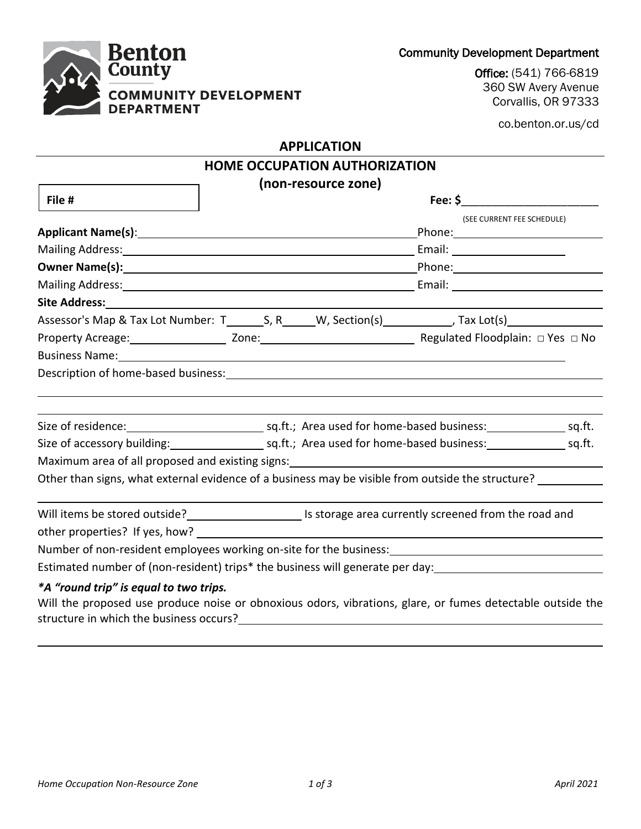Community Development Department



Office: (541) 766-6819 360 SW Avery Avenue Corvallis, OR 97333

co.benton.or.us/cd

### **APPLICATION**

|                                       | <b>HOME OCCUPATION AUTHORIZATION</b>                                                                                                                                                                                           |                            |  |  |  |
|---------------------------------------|--------------------------------------------------------------------------------------------------------------------------------------------------------------------------------------------------------------------------------|----------------------------|--|--|--|
|                                       | (non-resource zone)                                                                                                                                                                                                            |                            |  |  |  |
| File #                                |                                                                                                                                                                                                                                |                            |  |  |  |
|                                       |                                                                                                                                                                                                                                | (SEE CURRENT FEE SCHEDULE) |  |  |  |
|                                       |                                                                                                                                                                                                                                |                            |  |  |  |
|                                       |                                                                                                                                                                                                                                |                            |  |  |  |
|                                       | Mailing Address: National Address: National Address: National Address: National Address: National Address: National Address: National Address: National Address: National Address: National Address: National Address: Nationa |                            |  |  |  |
|                                       |                                                                                                                                                                                                                                |                            |  |  |  |
|                                       | Assessor's Map & Tax Lot Number: T_________S, R_______W, Section(s)_____________, Tax Lot(s)_________________                                                                                                                  |                            |  |  |  |
|                                       |                                                                                                                                                                                                                                |                            |  |  |  |
|                                       |                                                                                                                                                                                                                                |                            |  |  |  |
|                                       |                                                                                                                                                                                                                                |                            |  |  |  |
|                                       |                                                                                                                                                                                                                                |                            |  |  |  |
|                                       |                                                                                                                                                                                                                                |                            |  |  |  |
|                                       |                                                                                                                                                                                                                                |                            |  |  |  |
|                                       |                                                                                                                                                                                                                                |                            |  |  |  |
|                                       | Maximum area of all proposed and existing signs:<br>Maximum area of all proposed and existing signs:<br>Maximum area of all proposed and existing signs:                                                                       |                            |  |  |  |
|                                       | Other than signs, what external evidence of a business may be visible from outside the structure? ________                                                                                                                     |                            |  |  |  |
|                                       |                                                                                                                                                                                                                                |                            |  |  |  |
|                                       | Will items be stored outside?<br>Is storage area currently screened from the road and                                                                                                                                          |                            |  |  |  |
|                                       |                                                                                                                                                                                                                                |                            |  |  |  |
|                                       | Number of non-resident employees working on-site for the business:<br>Number of non-resident employees working on-site for the business:                                                                                       |                            |  |  |  |
|                                       | Estimated number of (non-resident) trips* the business will generate per day:<br>                                                                                                                                              |                            |  |  |  |
| *A "round trin" is equal to two trins |                                                                                                                                                                                                                                |                            |  |  |  |

# *\*A "round trip" is equal to two trips.*

Will the proposed use produce noise or obnoxious odors, vibrations, glare, or fumes detectable outside the structure in which the business occurs?<br>
<u>Example 2008</u>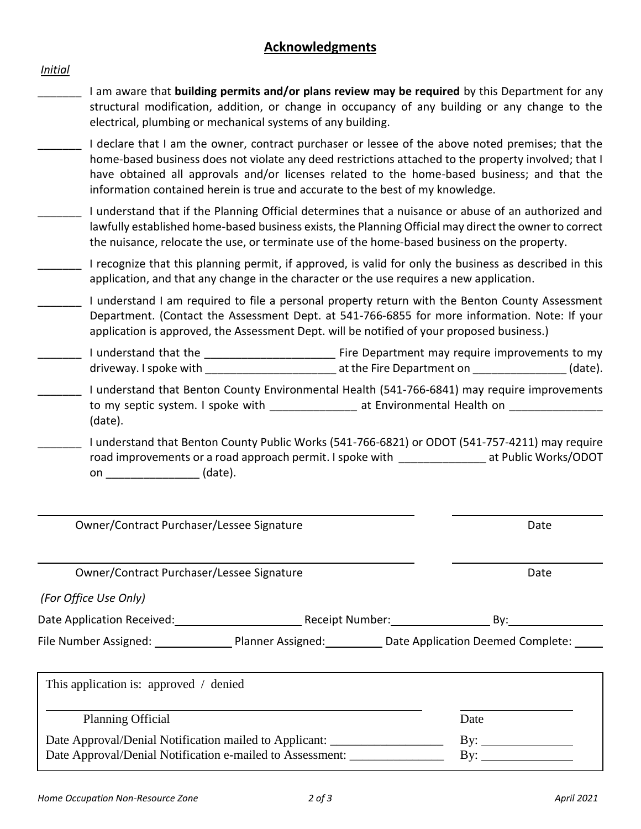# **Acknowledgments**

### *Initial*

- \_\_\_\_\_\_\_ I am aware that **building permits and/or plans review may be required** by this Department for any structural modification, addition, or change in occupancy of any building or any change to the electrical, plumbing or mechanical systems of any building.
- I declare that I am the owner, contract purchaser or lessee of the above noted premises; that the home-based business does not violate any deed restrictions attached to the property involved; that I have obtained all approvals and/or licenses related to the home-based business; and that the information contained herein is true and accurate to the best of my knowledge.
- \_\_\_\_\_\_\_ I understand that if the Planning Official determines that a nuisance or abuse of an authorized and lawfully established home-based business exists, the Planning Official may direct the owner to correct the nuisance, relocate the use, or terminate use of the home-based business on the property.
- \_\_\_\_\_\_\_ I recognize that this planning permit, if approved, is valid for only the business as described in this application, and that any change in the character or the use requires a new application.
- \_\_\_\_\_\_\_ I understand I am required to file a personal property return with the Benton County Assessment Department. (Contact the Assessment Dept. at 541-766-6855 for more information. Note: If your application is approved, the Assessment Dept. will be notified of your proposed business.)
- Lacker 1 understand that the **Lacker Lacker and Lacker and Times Times in a** Fire Department may require improvements to my driveway. I spoke with  $\qquad \qquad$  at the Fire Department on  $\qquad \qquad$  (date).
- \_\_\_\_\_\_\_ I understand that Benton County Environmental Health (541-766-6841) may require improvements to my septic system. I spoke with \_\_\_\_\_\_\_\_\_\_\_\_\_\_\_\_ at Environmental Health on \_\_\_\_\_\_\_\_\_\_\_\_\_\_\_\_\_\_\_\_\_ (date).
- \_\_\_\_\_\_\_ I understand that Benton County Public Works (541-766-6821) or ODOT (541-757-4211) may require road improvements or a road approach permit. I spoke with \_\_\_\_\_\_\_\_\_\_\_\_\_\_\_\_ at Public Works/ODOT on  $(date)$ .

| Owner/Contract Purchaser/Lessee Signature                                         |      | Date                                                                                |
|-----------------------------------------------------------------------------------|------|-------------------------------------------------------------------------------------|
| Owner/Contract Purchaser/Lessee Signature                                         | Date |                                                                                     |
| (For Office Use Only)                                                             |      |                                                                                     |
| Date Application Received: Network Charles Receipt Number: Number 2014            |      | By:                                                                                 |
|                                                                                   |      | File Number Assigned: 1990 Planner Assigned: 1990 Date Application Deemed Complete: |
|                                                                                   |      |                                                                                     |
| This application is: approved / denied                                            |      |                                                                                     |
| <b>Planning Official</b>                                                          |      | Date                                                                                |
| Date Approval/Denial Notification mailed to Applicant: __________________________ |      | By: $\_\_$                                                                          |
| Date Approval/Denial Notification e-mailed to Assessment:                         |      | By:                                                                                 |